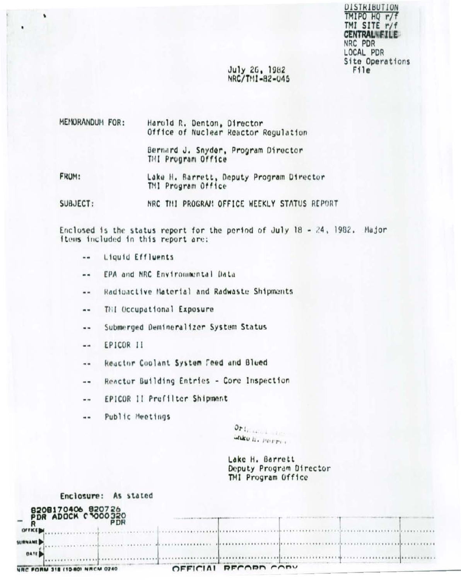DISIRIBUTION TMIPO HQ r/f TMI SITE r/f **CENTRALWEILE** NRC PDR LOCAL PDR Site Operations File<sup>1</sup>

# July 26, 1982 NRC/TMI-82-045

| MEMORANDUM FOR: | Harold R. Denton, Director<br>Office of Nuclear Reactor Regulation |
|-----------------|--------------------------------------------------------------------|
|                 | Bernard J. Snyder, Program Director<br>TMI Program Office          |
| FROM:           | Lake H. Barrett, Deputy Program Director<br>TMI Program Office     |

NRC THI PROGRAM OFFICE WEEKLY STATUS REPORT SUBJECT:

Enclosed is the status report for the period of July 18 - 24, 1982. Major items included in this report are:

Liquid Effluents w.

ś

- EPA and NRC Environmental Data ..
- Radioactive Material and Radwaste Shipments ..
- THI Occupational Exposure ..
- Submerged Demineralizer System Status ..
- EPICOR II шm
- Reactor Coolant System Feed and Blued ..
- Reactor Building Entries Core Inspection --
- EPICOR II Prefilter Shipment  $-1$
- Public Meetings  $\ddotsc$

Orthodox also **UNKO II. POTTO** 

Lake H. Barrett Deputy Program Director TMI Program Office

| NRC FORM 318 (10-80) NRCM 0240                      | OFFICIAL RECORD CODY |   |  |
|-----------------------------------------------------|----------------------|---|--|
| <b>DATE</b>                                         |                      |   |  |
| SURNAME                                             |                      |   |  |
| OFFICE                                              |                      | . |  |
| 8208170406 820726<br>PDR ADOCK C 000320<br>$-0.001$ |                      |   |  |
| Enclosure: As stated                                |                      |   |  |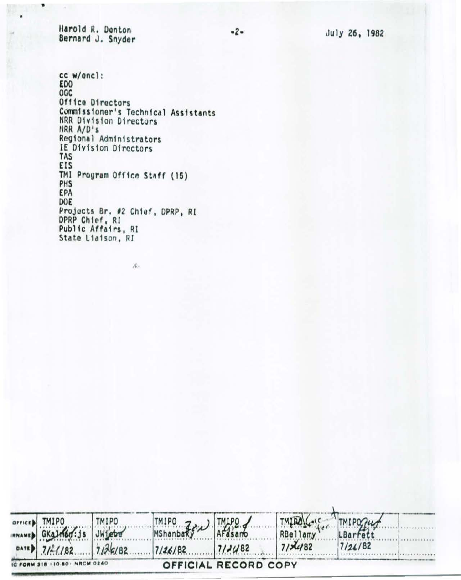Harold R. Denton Bernard J. Snyder

٠

July 26, 1982

cc w/encl:<br>EDO OGC Office Directors Commissioner's Technical Assistants<br>NRR Division Directors<br>NRR A/D's<br>Regional Administrators IE Division Directors TAS EIS TMI Program Office Staff (15) PHS EPA DOE Projects Br. #2 Chief, DPRP, RI DPRP Chief, RI Public Affairs, RI State Liaison, RI

 $\rho_{\rm sc}$ 

|                               |             |                      | TMIROLCONE TMIPOZUT |          |  |
|-------------------------------|-------------|----------------------|---------------------|----------|--|
| SPITTER THERE THERE           | MIPO Z MIPO |                      | RBellamy            | LBarfett |  |
| DATE 7/2/182 7/26/82          | 1/26/82     | $712482$             | 7/7482              | 7/24/82  |  |
| IC FORM 318 110-80: NRCM 0240 |             | OFFICIAL RECORD COPY |                     |          |  |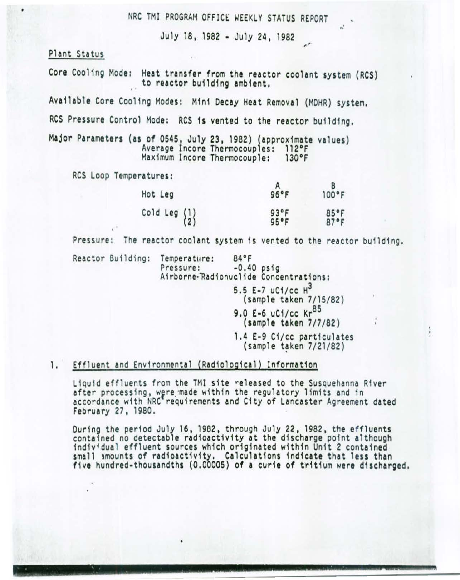NRC TMI PROGRAM OFFICE WEEKLY STATUS REPORT

July 18, 1982 • July 24, 1982

# Plant Status

Core Cooling Mode: Heat transfer from the reactor coolant system (RCS) to reactor building ambient.

Available Core Cooling Modes: M1n1 Decay Heat Removal (MOHR) system.

RCS Pressure Control Mode: RCS 1s vented to the reactor building.

Major Parameters (as of 0545, July 23, 1982) (approximate values)<br>Average Incore Thermocouples: 112°F<br>Maximum Incore Thermocouple: 130°F Maximum Incore Thermocouple:

RCS Loop Temperatures:

| Hot Leg                                         | 96°F         | 100°F        |
|-------------------------------------------------|--------------|--------------|
| Cold Leg $\begin{Bmatrix} 1 \\ 2 \end{Bmatrix}$ | 93°F<br>95°F | 85°F<br>87°F |

Pressure: The reactor coolant system is vented to the reactor building.

Reactor Building: Temperature: 84°F<br>Pressure: -0.40 psig Airborne-Radionuclide Concentrations:

5.5 E-7 uC1/cc H3

(sample taken 7/15/82) 9.0 E-6 uCi/cc Kr<sup>85</sup>

 $\mathbf{r}$ 

(sample taken 7/7/82)

1.4 E-9 Ci/cc particulates<br>(sample taken 7/21/82)

## 1. Effluent and Environmental (Radiological) Information

Liquid effluents from the TMI site released to the Susquehanna River after processing, were made within the regulatory limits and in accordance with NRC requirements and City of Lancaster Agreement dated February 27, 1980.

During the period July 16, 1902, through July 22, 1982, the effluents contained no detectable radioactivity at the discharge point although individual effluent sources which originated within Unit 2 contained sma11 smounts of radioactivity. Calculations indicate that 1ess than five hundred-thousandths (0.00005) of a curie of tritium were discharged.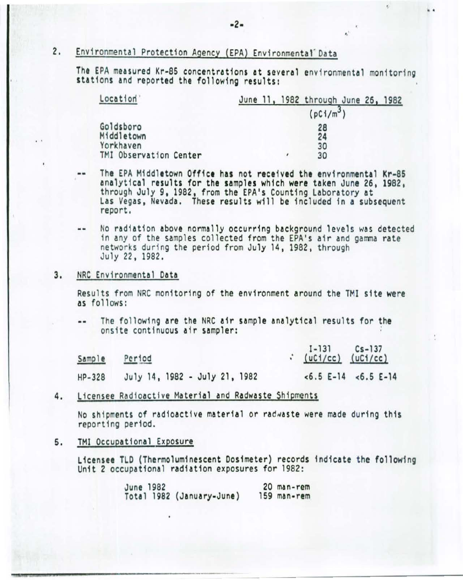# 2. Environmental Protection Agency (EPA) Environmental Data

The EPA measured Kr-85 concentrations at several environmental monitoring stations and reported the following results:

 $\mathbf{e}^{\mathbf{e}}$ 

• •

| Location                            | June 11, 1982 through June 26, 1982 |
|-------------------------------------|-------------------------------------|
|                                     | $(pC1/m^3)$                         |
| Goldsboro<br>Middletown             | 28<br>24                            |
| Yorkhaven<br>TMI Observation Center | 30<br>30<br>$\epsilon$              |

- The EPA Middletown Office has not received the environmental Kr-85  $\cdots$ analytical results for the samples which were taken June 26. 1982. through July 9, 1982, from the EPA's Counting Laboratory at Las Vegas, Nevada. These results will be included in a subsequent report.
- No radiation above normally occurring background levels was detected in any of the samples collected from the EPA's air and gamma rate networks during the period from July 14, 1982, through July 22, 1982.

## 3. NRC Environmental Data

Results from NRC monitoring of the environment around the TMI site were as foll ows:

The following are the NRC air sample analytical results for the onsi te continuous air sampler: *:* 

| Sample   | Period                        | $\frac{I-131}{(uC1/cc)}$ $\frac{Cs-137}{(uC1/cc)}$ |                         |
|----------|-------------------------------|----------------------------------------------------|-------------------------|
| $HP-328$ | July 14, 1982 - July 21, 1982 |                                                    | $<6.5$ E-14 $<6.5$ E-14 |

4. Licensee Radioactive Material and Radwaste Shipments

No shipments of radioactive material or radwaste were made during this report ing period.

5. TMI Occupational Ex posure

Licensee TLD (Thermoluminescent Dosimeter) records indicate the following<br>Unit 2 occupational radiation exposures for 1982:

| June 1982 |                           | 20 man-rem  |
|-----------|---------------------------|-------------|
|           | Total 1982 (January-June) | 159 man-rem |

 $-2-$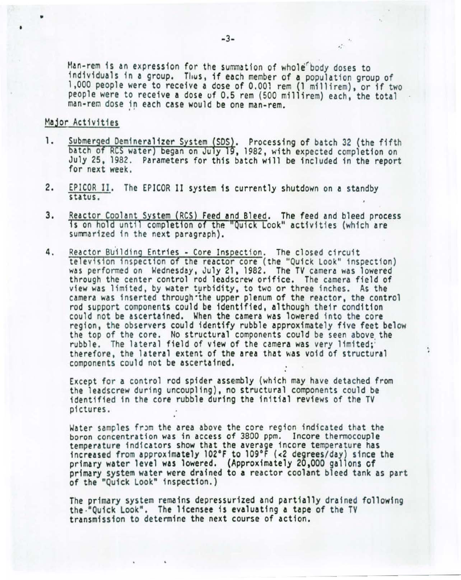Man-rem is an expression for the summation of whole body doses to individuals in a group. Thus, if each member of a population group of 1,000 people were to receive a dose of 0.001 rem {1 millirem) , or if two people were to receive a dose uf 0.5 rem (500 millirem) each, the total man-rem dose in each case would be one man-rem.

#### Major Activities

•

•

- 1. Submerged Demineralizer System (SDS). Processing of batch 32 (the fifth batch of RCS water) began on July 19, 1982, with expected completion on July 25, 1982. Parameters for this batch will be included in the report for next week.
- 2. EPICOR IJ. The EPJCOR II system 1s currently shutdown on a standby status.
- Reactor Coolant System (RCS) Feed and Bleed. The feed and bleed process 3. is on hold until completion of the "Quick Look" activities (which are summarized in the next paragraph).
- 4. Reactor Building Entries Core Inspection. The closed circuit television inspection of the reactor core (the "Quick Look" inspection) was performed on Wednesday, July 21, 1982. The TV camera was lowered through the center control rod leadscrew orifice. The camera field of view was limited, by water turbidity, to two or three inches. As the camera was inserted through the upper plenum of the reactor, the control rod support components could be identified, although their condition could not be ascertained. When the camera was lowered into the *core*  region, the observers could identify rubble approximately five feet below the top of the core. No structural components could be seen above the rubble. The lateral field of view of the camera was very limited;<br>therefore, the lateral extent of the area that was void of structural components could not be ascertained. . .

Except for a control rod spider assembly (which may have detached from the leads crew during uncoupling), no structural components could be identified in the *core* rubble during the initial reviews of the TV pictures.

Water samples from the area above the core region indicated that the boron concentration was in access of 3800 ppm. Incore thermocouple temperature indicators show that the average incore temperature has increased from approximately l02°F to 109°F {<2 degrees/day) since the primary water level was lowered. (Approximately 20,000 gallons cf primary system water were drained to a reactor coolant bleed tank as part of the "Quick Look" inspection.)

The primary system remains depressurized and partially drained following<br>the ·"Quick Look". The licensee is evaluating a tape of the TV transmission to detenmine the next course of action.

- - - -----

t.